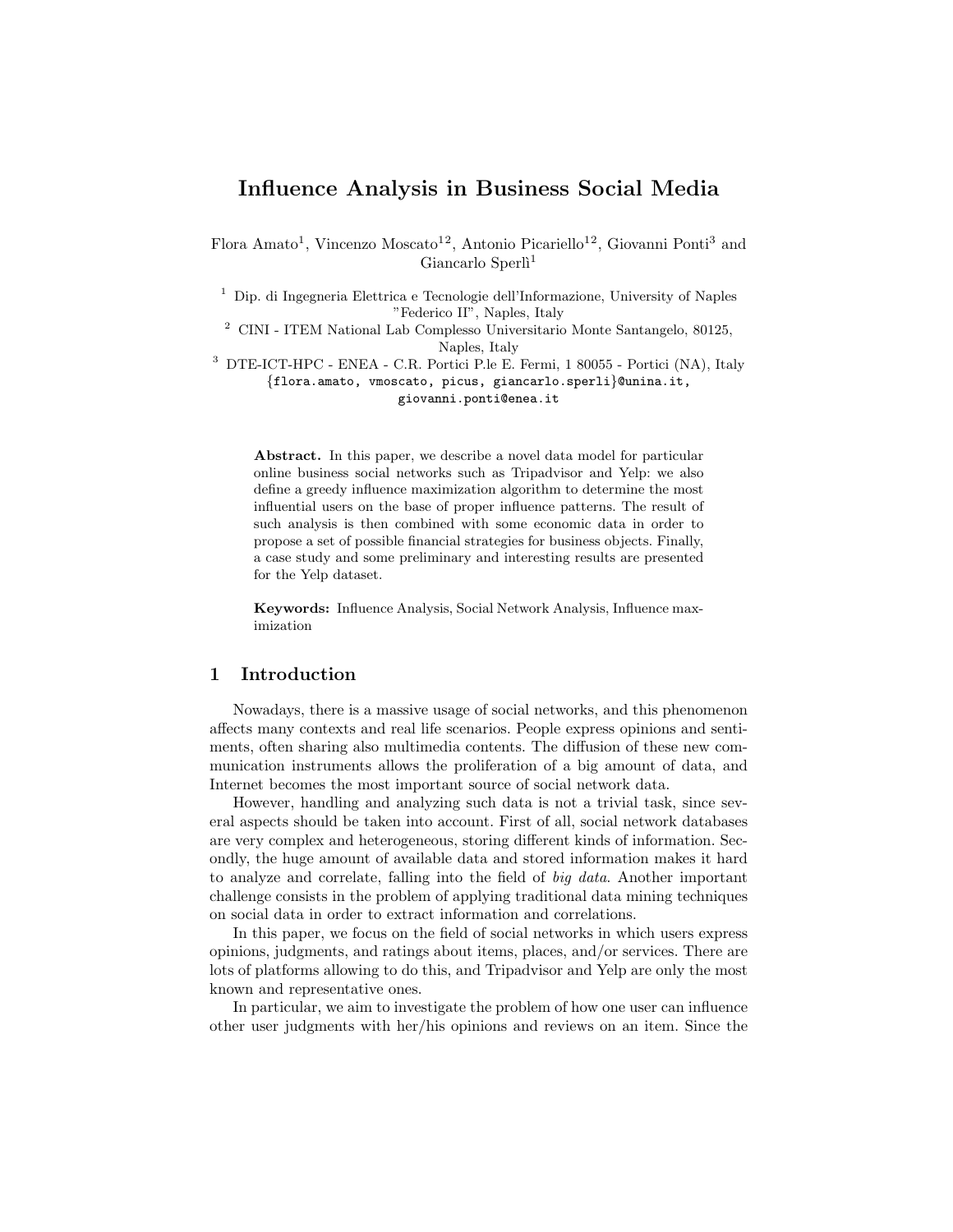# <span id="page-0-0"></span>Influence Analysis in Business Social Media

Flora Amato<sup>1</sup>, Vincenzo Moscato<sup>12</sup>, Antonio Picariello<sup>12</sup>, Giovanni Ponti<sup>3</sup> and Giancarlo Sperlì<sup>1</sup>

<sup>1</sup> Dip. di Ingegneria Elettrica e Tecnologie dell'Informazione, University of Naples "Federico II", Naples, Italy

 $^2$  CINI - ITEM National Lab Complesso Universitario Monte Santangelo, 80125, Naples, Italy

<sup>3</sup> DTE-ICT-HPC - ENEA - C.R. Portici P.le E. Fermi, 1 80055 - Portici (NA), Italy {flora.amato, vmoscato, picus, giancarlo.sperli}@unina.it, giovanni.ponti@enea.it

Abstract. In this paper, we describe a novel data model for particular online business social networks such as Tripadvisor and Yelp: we also define a greedy influence maximization algorithm to determine the most influential users on the base of proper influence patterns. The result of such analysis is then combined with some economic data in order to propose a set of possible financial strategies for business objects. Finally, a case study and some preliminary and interesting results are presented for the Yelp dataset.

Keywords: Influence Analysis, Social Network Analysis, Influence maximization

#### 1 Introduction

Nowadays, there is a massive usage of social networks, and this phenomenon affects many contexts and real life scenarios. People express opinions and sentiments, often sharing also multimedia contents. The diffusion of these new communication instruments allows the proliferation of a big amount of data, and Internet becomes the most important source of social network data.

However, handling and analyzing such data is not a trivial task, since several aspects should be taken into account. First of all, social network databases are very complex and heterogeneous, storing different kinds of information. Secondly, the huge amount of available data and stored information makes it hard to analyze and correlate, falling into the field of big data. Another important challenge consists in the problem of applying traditional data mining techniques on social data in order to extract information and correlations.

In this paper, we focus on the field of social networks in which users express opinions, judgments, and ratings about items, places, and/or services. There are lots of platforms allowing to do this, and Tripadvisor and Yelp are only the most known and representative ones.

In particular, we aim to investigate the problem of how one user can influence other user judgments with her/his opinions and reviews on an item. Since the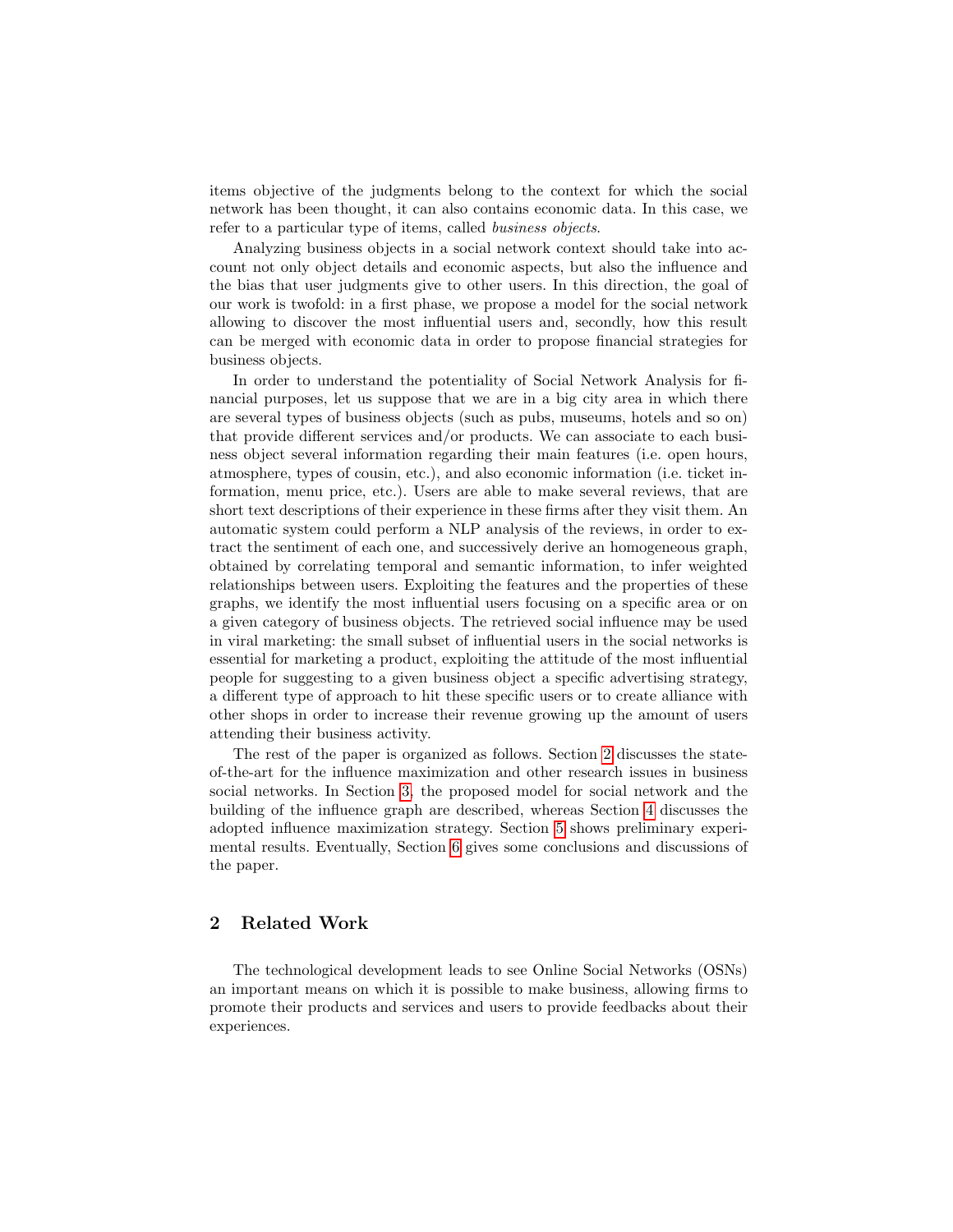items objective of the judgments belong to the context for which the social network has been thought, it can also contains economic data. In this case, we refer to a particular type of items, called business objects.

Analyzing business objects in a social network context should take into account not only object details and economic aspects, but also the influence and the bias that user judgments give to other users. In this direction, the goal of our work is twofold: in a first phase, we propose a model for the social network allowing to discover the most influential users and, secondly, how this result can be merged with economic data in order to propose financial strategies for business objects.

In order to understand the potentiality of Social Network Analysis for financial purposes, let us suppose that we are in a big city area in which there are several types of business objects (such as pubs, museums, hotels and so on) that provide different services and/or products. We can associate to each business object several information regarding their main features (i.e. open hours, atmosphere, types of cousin, etc.), and also economic information (i.e. ticket information, menu price, etc.). Users are able to make several reviews, that are short text descriptions of their experience in these firms after they visit them. An automatic system could perform a NLP analysis of the reviews, in order to extract the sentiment of each one, and successively derive an homogeneous graph, obtained by correlating temporal and semantic information, to infer weighted relationships between users. Exploiting the features and the properties of these graphs, we identify the most influential users focusing on a specific area or on a given category of business objects. The retrieved social influence may be used in viral marketing: the small subset of influential users in the social networks is essential for marketing a product, exploiting the attitude of the most influential people for suggesting to a given business object a specific advertising strategy, a different type of approach to hit these specific users or to create alliance with other shops in order to increase their revenue growing up the amount of users attending their business activity.

The rest of the paper is organized as follows. Section [2](#page-1-0) discusses the stateof-the-art for the influence maximization and other research issues in business social networks. In Section [3,](#page-3-0) the proposed model for social network and the building of the influence graph are described, whereas Section [4](#page-6-0) discusses the adopted influence maximization strategy. Section [5](#page-8-0) shows preliminary experimental results. Eventually, Section [6](#page-10-0) gives some conclusions and discussions of the paper.

# <span id="page-1-0"></span>2 Related Work

The technological development leads to see Online Social Networks (OSNs) an important means on which it is possible to make business, allowing firms to promote their products and services and users to provide feedbacks about their experiences.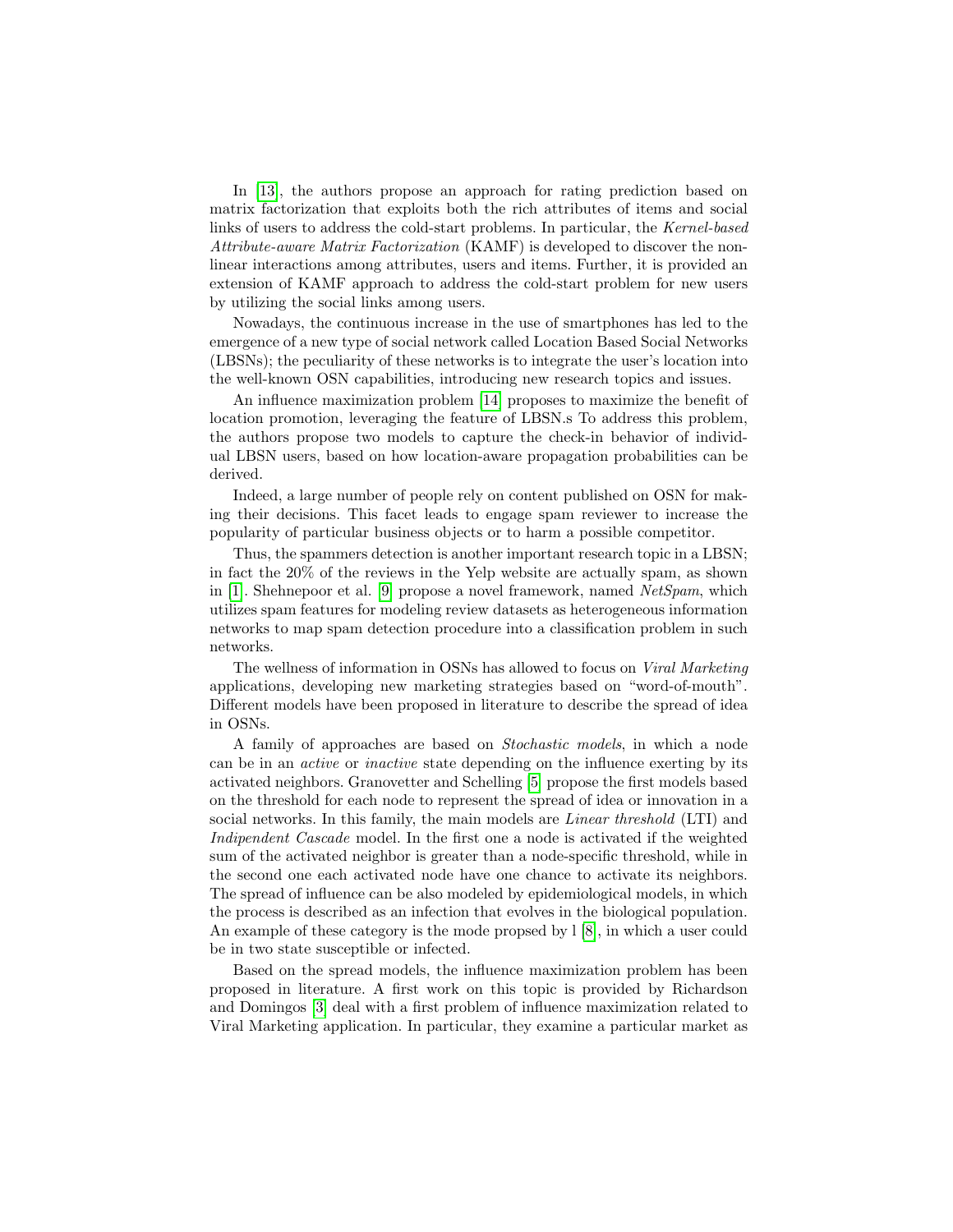In [\[13\]](#page-10-1), the authors propose an approach for rating prediction based on matrix factorization that exploits both the rich attributes of items and social links of users to address the cold-start problems. In particular, the Kernel-based Attribute-aware Matrix Factorization (KAMF) is developed to discover the nonlinear interactions among attributes, users and items. Further, it is provided an extension of KAMF approach to address the cold-start problem for new users by utilizing the social links among users.

Nowadays, the continuous increase in the use of smartphones has led to the emergence of a new type of social network called Location Based Social Networks (LBSNs); the peculiarity of these networks is to integrate the user's location into the well-known OSN capabilities, introducing new research topics and issues.

An influence maximization problem [\[14\]](#page-11-0) proposes to maximize the benefit of location promotion, leveraging the feature of LBSN.s To address this problem, the authors propose two models to capture the check-in behavior of individual LBSN users, based on how location-aware propagation probabilities can be derived.

Indeed, a large number of people rely on content published on OSN for making their decisions. This facet leads to engage spam reviewer to increase the popularity of particular business objects or to harm a possible competitor.

Thus, the spammers detection is another important research topic in a LBSN; in fact the 20% of the reviews in the Yelp website are actually spam, as shown in [\[1\]](#page-10-2). Shehnepoor et al. [\[9\]](#page-10-3) propose a novel framework, named  $NetSpam$ , which utilizes spam features for modeling review datasets as heterogeneous information networks to map spam detection procedure into a classification problem in such networks.

The wellness of information in OSNs has allowed to focus on Viral Marketing applications, developing new marketing strategies based on "word-of-mouth". Different models have been proposed in literature to describe the spread of idea in OSNs.

A family of approaches are based on Stochastic models, in which a node can be in an active or inactive state depending on the influence exerting by its activated neighbors. Granovetter and Schelling [\[5\]](#page-10-4) propose the first models based on the threshold for each node to represent the spread of idea or innovation in a social networks. In this family, the main models are *Linear threshold* (LTI) and Indipendent Cascade model. In the first one a node is activated if the weighted sum of the activated neighbor is greater than a node-specific threshold, while in the second one each activated node have one chance to activate its neighbors. The spread of influence can be also modeled by epidemiological models, in which the process is described as an infection that evolves in the biological population. An example of these category is the mode propsed by l [\[8\]](#page-10-5), in which a user could be in two state susceptible or infected.

Based on the spread models, the influence maximization problem has been proposed in literature. A first work on this topic is provided by Richardson and Domingos [\[3\]](#page-10-6) deal with a first problem of influence maximization related to Viral Marketing application. In particular, they examine a particular market as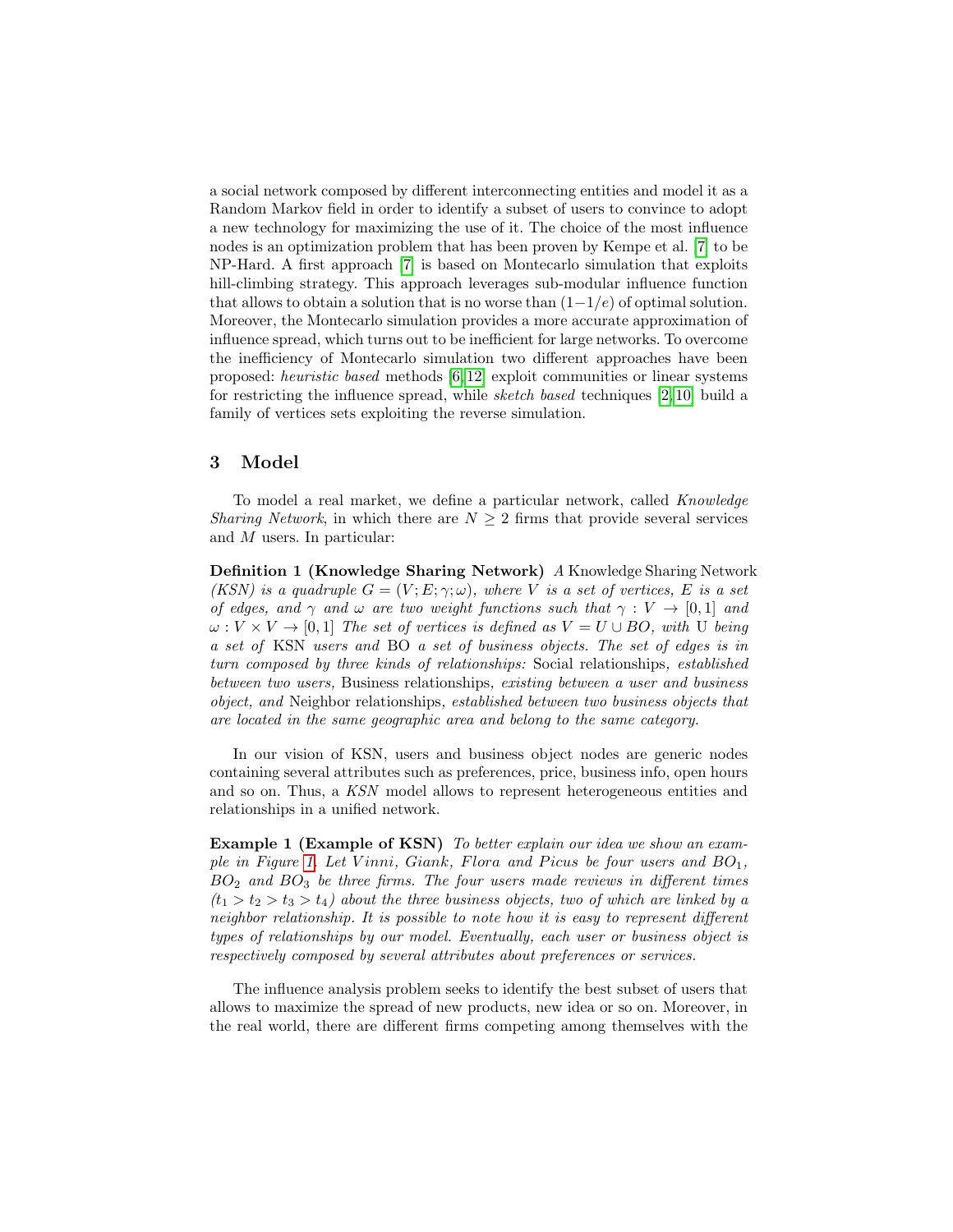a social network composed by different interconnecting entities and model it as a Random Markov field in order to identify a subset of users to convince to adopt a new technology for maximizing the use of it. The choice of the most influence nodes is an optimization problem that has been proven by Kempe et al. [\[7\]](#page-10-7) to be NP-Hard. A first approach [\[7\]](#page-10-7) is based on Montecarlo simulation that exploits hill-climbing strategy. This approach leverages sub-modular influence function that allows to obtain a solution that is no worse than  $(1-1/e)$  of optimal solution. Moreover, the Montecarlo simulation provides a more accurate approximation of influence spread, which turns out to be inefficient for large networks. To overcome the inefficiency of Montecarlo simulation two different approaches have been proposed: heuristic based methods [\[6,](#page-10-8) [12\]](#page-10-9) exploit communities or linear systems for restricting the influence spread, while sketch based techniques  $[2, 10]$  $[2, 10]$  build a family of vertices sets exploiting the reverse simulation.

### <span id="page-3-0"></span>3 Model

To model a real market, we define a particular network, called Knowledge Sharing Network, in which there are  $N \geq 2$  firms that provide several services and M users. In particular:

Definition 1 (Knowledge Sharing Network) A Knowledge Sharing Network (KSN) is a quadruple  $G = (V, E, \gamma, \omega)$ , where V is a set of vertices, E is a set of edges, and  $\gamma$  and  $\omega$  are two weight functions such that  $\gamma : V \to [0,1]$  and  $\omega: V \times V \rightarrow [0, 1]$  The set of vertices is defined as  $V = U \cup BO$ , with U being a set of KSN users and BO a set of business objects. The set of edges is in turn composed by three kinds of relationships: Social relationships, established between two users, Business relationships, existing between a user and business object, and Neighbor relationships, established between two business objects that are located in the same geographic area and belong to the same category.

In our vision of KSN, users and business object nodes are generic nodes containing several attributes such as preferences, price, business info, open hours and so on. Thus, a KSN model allows to represent heterogeneous entities and relationships in a unified network.

<span id="page-3-1"></span>Example 1 (Example of KSN) To better explain our idea we show an exam-ple in Figure [1.](#page-4-0) Let Vinni, Giank, Flora and Picus be four users and  $BO_1$ ,  $BO<sub>2</sub>$  and  $BO<sub>3</sub>$  be three firms. The four users made reviews in different times  $(t_1 > t_2 > t_3 > t_4)$  about the three business objects, two of which are linked by a neighbor relationship. It is possible to note how it is easy to represent different types of relationships by our model. Eventually, each user or business object is respectively composed by several attributes about preferences or services.

The influence analysis problem seeks to identify the best subset of users that allows to maximize the spread of new products, new idea or so on. Moreover, in the real world, there are different firms competing among themselves with the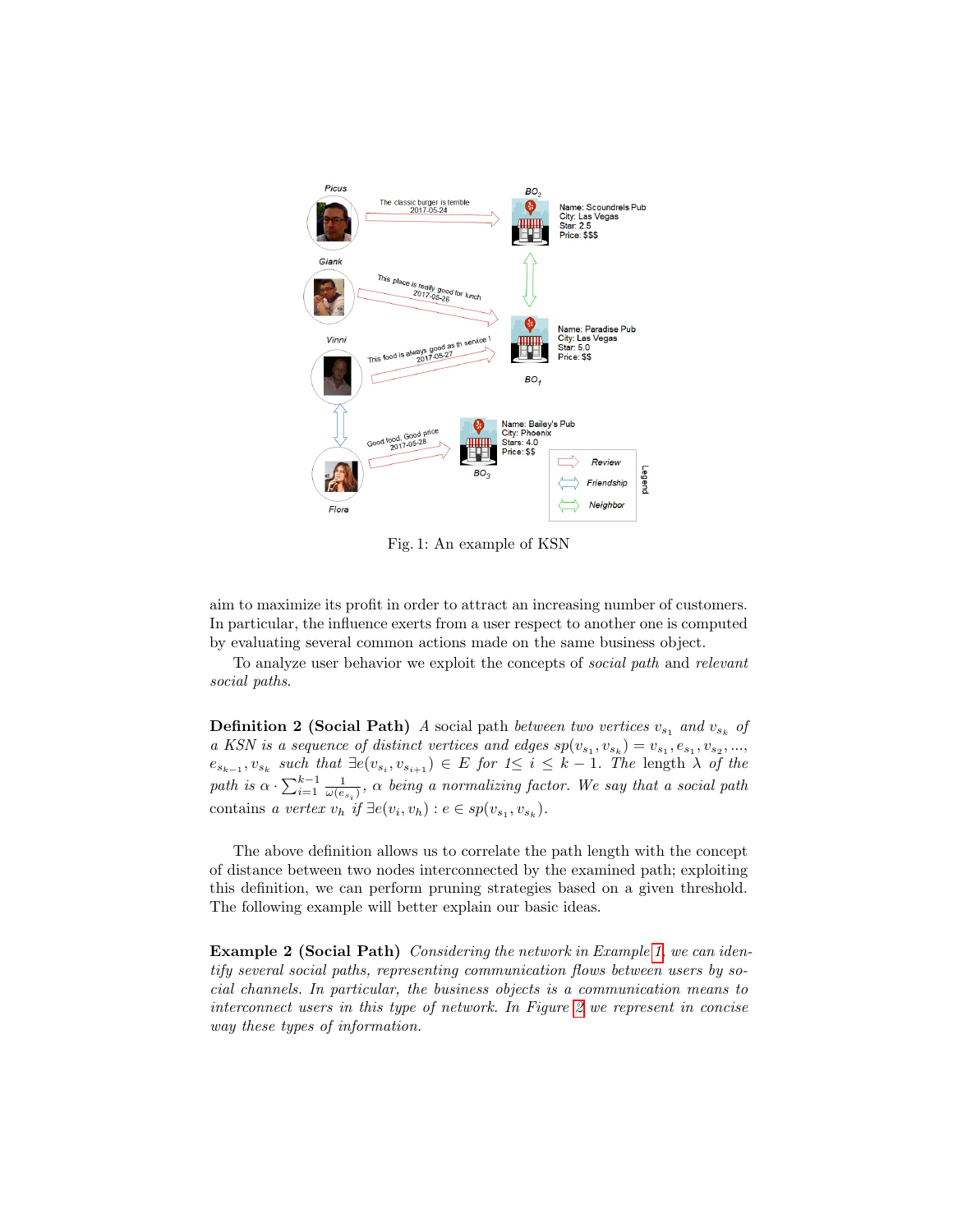<span id="page-4-0"></span>

Fig. 1: An example of KSN

aim to maximize its profit in order to attract an increasing number of customers. In particular, the influence exerts from a user respect to another one is computed by evaluating several common actions made on the same business object.

To analyze user behavior we exploit the concepts of social path and relevant social paths.

**Definition 2 (Social Path)** A social path between two vertices  $v_{s_1}$  and  $v_{s_k}$  of a KSN is a sequence of distinct vertices and edges  $sp(v_{s_1}, v_{s_k}) = v_{s_1}, e_{s_1}, v_{s_2}, \ldots,$  $e_{s_{k-1}}, v_{s_k}$  such that  $\exists e(v_{s_i}, v_{s_{i+1}}) \in E$  for  $1 \leq i \leq k-1$ . The length  $\lambda$  of the path is  $\alpha \cdot \sum_{i=1}^{k-1} \frac{1}{\omega(e_{s_i})}$ ,  $\alpha$  being a normalizing factor. We say that a social path contains a vertex  $v_h$  if  $\exists e(v_i, v_h) : e \in sp(v_{s_1}, v_{s_k}).$ 

The above definition allows us to correlate the path length with the concept of distance between two nodes interconnected by the examined path; exploiting this definition, we can perform pruning strategies based on a given threshold. The following example will better explain our basic ideas.

<span id="page-4-1"></span>Example 2 (Social Path) Considering the network in Example [1,](#page-3-1) we can identify several social paths, representing communication flows between users by social channels. In particular, the business objects is a communication means to interconnect users in this type of network. In Figure [2](#page-5-0) we represent in concise way these types of information.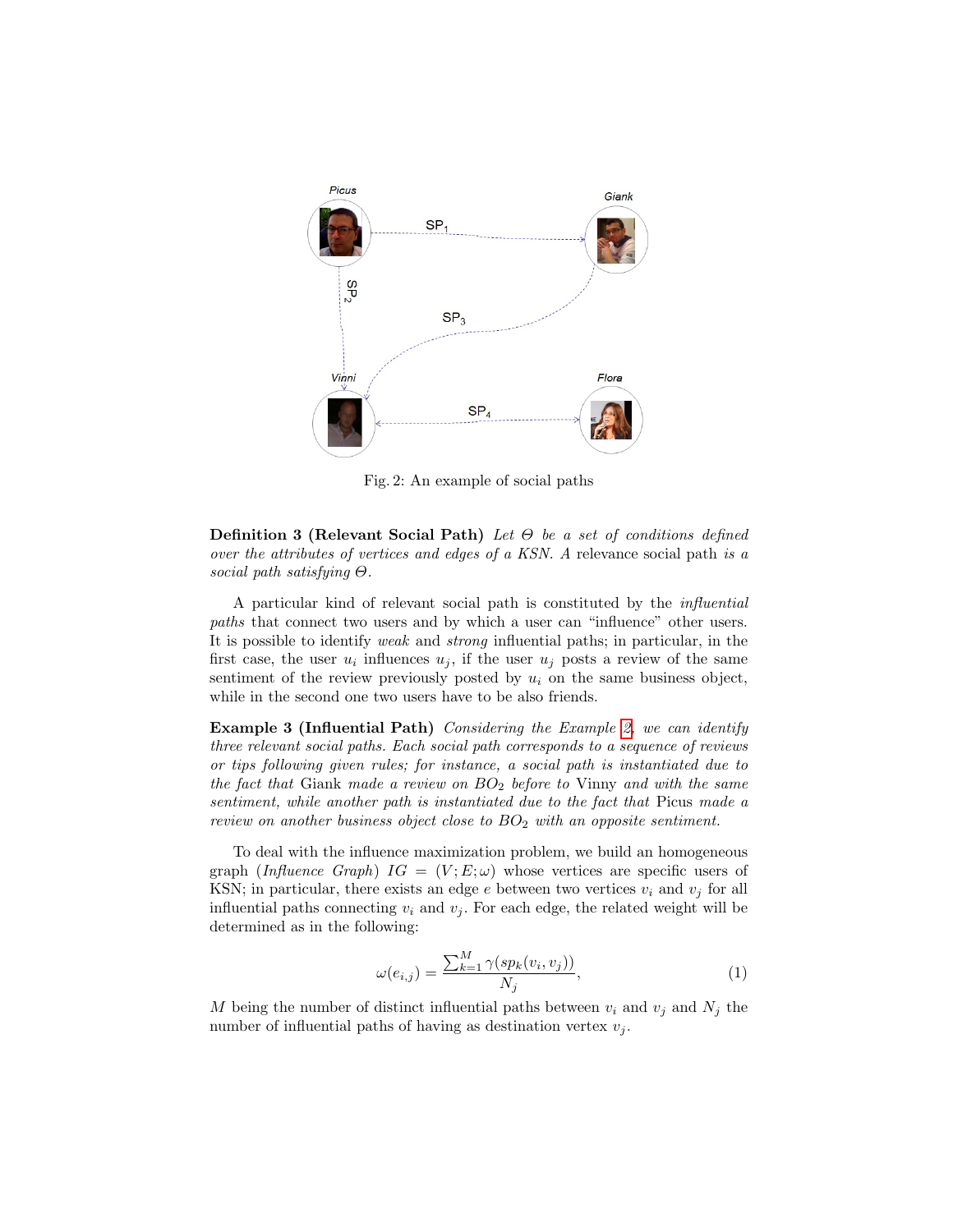<span id="page-5-0"></span>

Fig. 2: An example of social paths

**Definition 3 (Relevant Social Path)** Let  $\Theta$  be a set of conditions defined over the attributes of vertices and edges of a KSN. A relevance social path is a social path satisfying Θ.

A particular kind of relevant social path is constituted by the influential paths that connect two users and by which a user can "influence" other users. It is possible to identify weak and strong influential paths; in particular, in the first case, the user  $u_i$  influences  $u_j$ , if the user  $u_j$  posts a review of the same sentiment of the review previously posted by  $u_i$  on the same business object, while in the second one two users have to be also friends.

<span id="page-5-1"></span>Example 3 (Influential Path) Considering the Example [2,](#page-4-1) we can identify three relevant social paths. Each social path corresponds to a sequence of reviews or tips following given rules; for instance, a social path is instantiated due to the fact that Giank made a review on  $BO<sub>2</sub>$  before to Vinny and with the same sentiment, while another path is instantiated due to the fact that Picus made a review on another business object close to  $BO<sub>2</sub>$  with an opposite sentiment.

To deal with the influence maximization problem, we build an homogeneous graph (Influence Graph)  $IG = (V; E; \omega)$  whose vertices are specific users of KSN; in particular, there exists an edge  $e$  between two vertices  $v_i$  and  $v_j$  for all influential paths connecting  $v_i$  and  $v_j$ . For each edge, the related weight will be determined as in the following:

<span id="page-5-2"></span>
$$
\omega(e_{i,j}) = \frac{\sum_{k=1}^{M} \gamma(sp_k(v_i, v_j))}{N_j},\tag{1}
$$

<span id="page-5-3"></span>M being the number of distinct influential paths between  $v_i$  and  $v_j$  and  $N_j$  the number of influential paths of having as destination vertex  $v_j$ .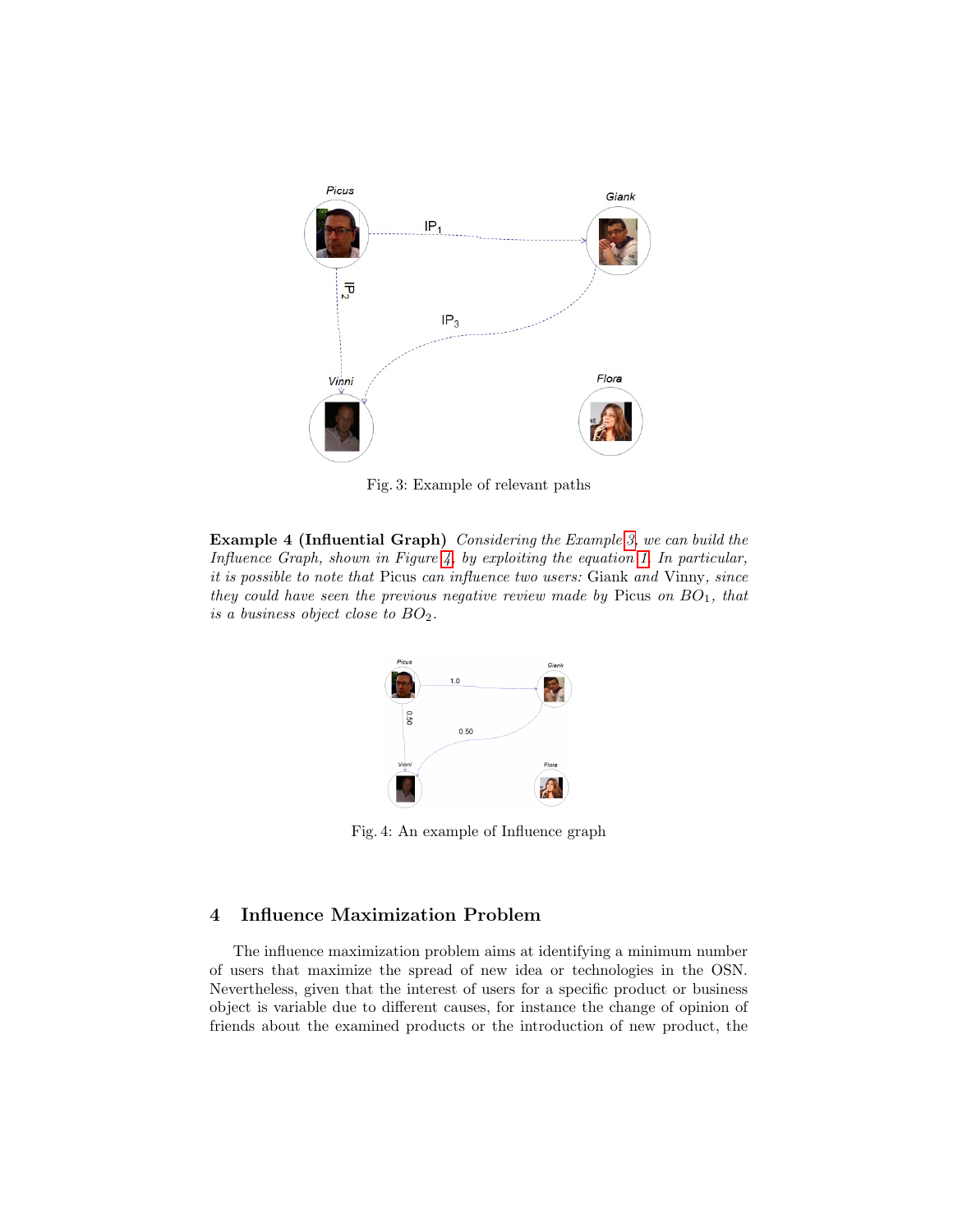

Fig. 3: Example of relevant paths

<span id="page-6-1"></span>Example 4 (Influential Graph) Considering the Example [3,](#page-5-1) we can build the Influence Graph, shown in Figure [4,](#page-6-1) by exploiting the equation [1.](#page-5-2) In particular, it is possible to note that Picus can influence two users: Giank and Vinny, since they could have seen the previous negative review made by Picus on  $BO<sub>1</sub>$ , that is a business object close to  $BO<sub>2</sub>$ .



Fig. 4: An example of Influence graph

# <span id="page-6-0"></span>4 Influence Maximization Problem

The influence maximization problem aims at identifying a minimum number of users that maximize the spread of new idea or technologies in the OSN. Nevertheless, given that the interest of users for a specific product or business object is variable due to different causes, for instance the change of opinion of friends about the examined products or the introduction of new product, the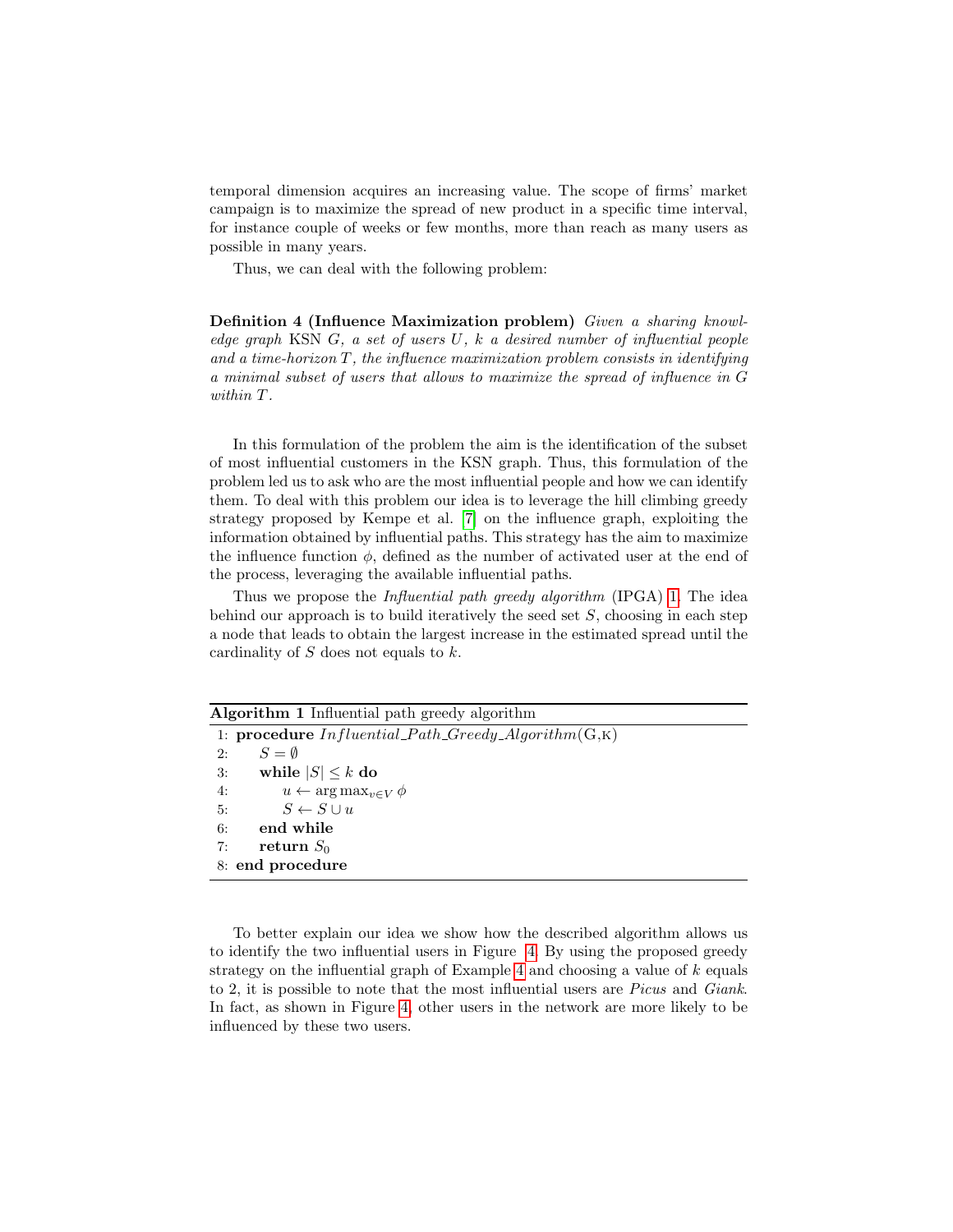temporal dimension acquires an increasing value. The scope of firms' market campaign is to maximize the spread of new product in a specific time interval, for instance couple of weeks or few months, more than reach as many users as possible in many years.

Thus, we can deal with the following problem:

Definition 4 (Influence Maximization problem) Given a sharing knowledge graph KSN  $G$ , a set of users  $U$ , k a desired number of influential people and a time-horizon  $T$ , the influence maximization problem consists in identifying a minimal subset of users that allows to maximize the spread of influence in G within T.

In this formulation of the problem the aim is the identification of the subset of most influential customers in the KSN graph. Thus, this formulation of the problem led us to ask who are the most influential people and how we can identify them. To deal with this problem our idea is to leverage the hill climbing greedy strategy proposed by Kempe et al. [\[7\]](#page-10-7) on the influence graph, exploiting the information obtained by influential paths. This strategy has the aim to maximize the influence function  $\phi$ , defined as the number of activated user at the end of the process, leveraging the available influential paths.

Thus we propose the Influential path greedy algorithm (IPGA) [1.](#page-7-0) The idea behind our approach is to build iteratively the seed set  $S$ , choosing in each step a node that leads to obtain the largest increase in the estimated spread until the cardinality of  $S$  does not equals to  $k$ .

<span id="page-7-0"></span>

| Algorithm 1 Influential path greedy algorithm             |  |  |
|-----------------------------------------------------------|--|--|
| 1: procedure $Influential\_Path\_Greedy\_Algorithm(G, K)$ |  |  |
| $S = \emptyset$<br>2:                                     |  |  |
| while $ S  \leq k$ do<br>3:                               |  |  |
| $u \leftarrow \arg \max_{v \in V} \phi$<br>4:             |  |  |
| $S \leftarrow S \cup u$<br>5:                             |  |  |
| end while<br>6:                                           |  |  |
| return $S_0$<br>7:                                        |  |  |
| 8: end procedure                                          |  |  |

To better explain our idea we show how the described algorithm allows us to identify the two influential users in Figure [4.](#page-6-1) By using the proposed greedy strategy on the influential graph of Example [4](#page-5-3) and choosing a value of  $k$  equals to 2, it is possible to note that the most influential users are Picus and Giank. In fact, as shown in Figure [4,](#page-6-1) other users in the network are more likely to be influenced by these two users.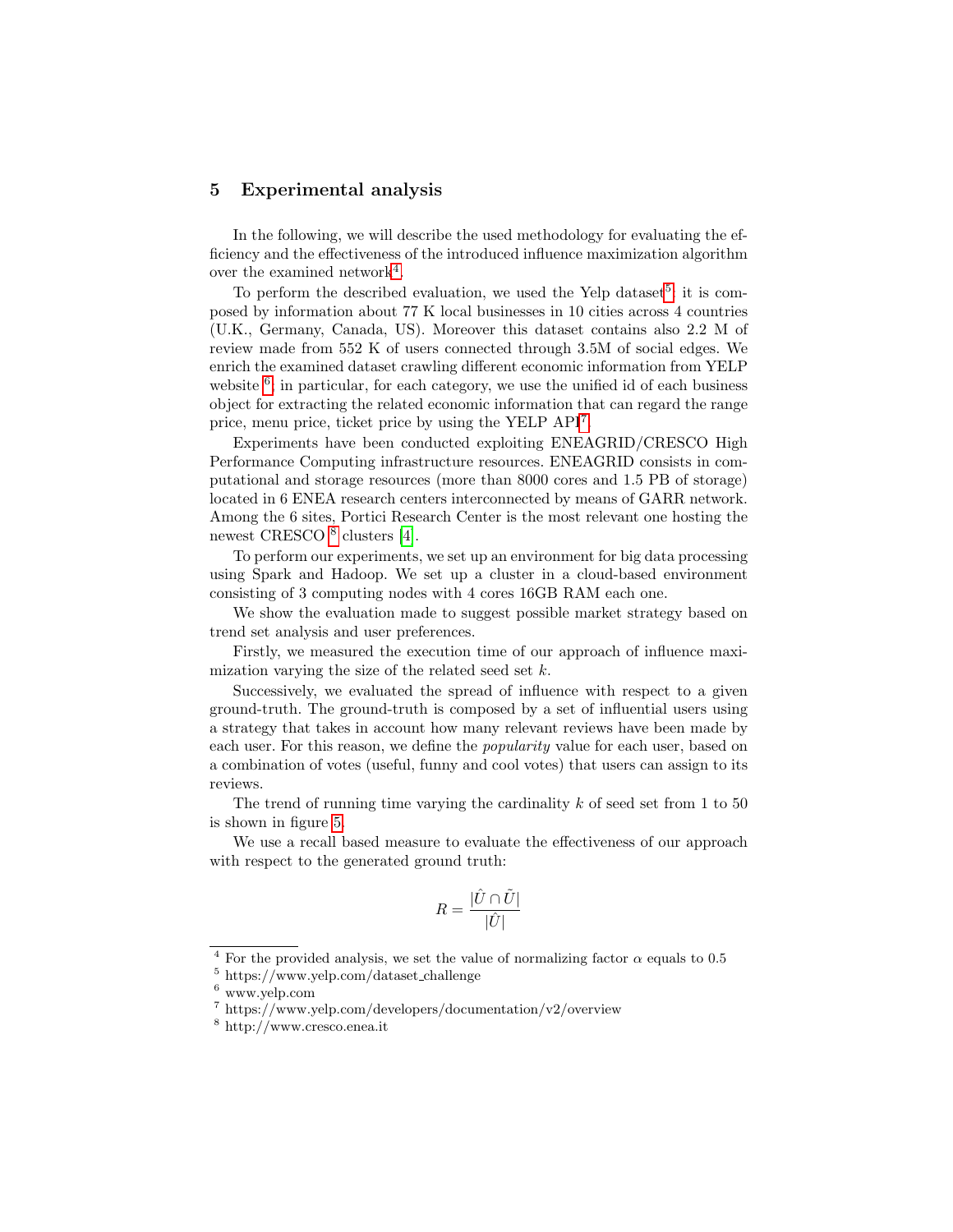### <span id="page-8-0"></span>5 Experimental analysis

In the following, we will describe the used methodology for evaluating the efficiency and the effectiveness of the introduced influence maximization algorithm over the examined network<sup>[4](#page-0-0)</sup>.

To perform the described evaluation, we used the Yelp dataset<sup>[5](#page-0-0)</sup>: it is composed by information about 77 K local businesses in 10 cities across 4 countries (U.K., Germany, Canada, US). Moreover this dataset contains also 2.2 M of review made from 552 K of users connected through 3.5M of social edges. We enrich the examined dataset crawling different economic information from YELP website  $6$ ; in particular, for each category, we use the unified id of each business object for extracting the related economic information that can regard the range price, menu price, ticket price by using the YELP API[7](#page-0-0) .

Experiments have been conducted exploiting ENEAGRID/CRESCO High Performance Computing infrastructure resources. ENEAGRID consists in computational and storage resources (more than 8000 cores and 1.5 PB of storage) located in 6 ENEA research centers interconnected by means of GARR network. Among the 6 sites, Portici Research Center is the most relevant one hosting the newest CRESCO<sup>[8](#page-0-0)</sup> clusters [\[4\]](#page-10-12).

To perform our experiments, we set up an environment for big data processing using Spark and Hadoop. We set up a cluster in a cloud-based environment consisting of 3 computing nodes with 4 cores 16GB RAM each one.

We show the evaluation made to suggest possible market strategy based on trend set analysis and user preferences.

Firstly, we measured the execution time of our approach of influence maximization varying the size of the related seed set  $k$ .

Successively, we evaluated the spread of influence with respect to a given ground-truth. The ground-truth is composed by a set of influential users using a strategy that takes in account how many relevant reviews have been made by each user. For this reason, we define the *popularity* value for each user, based on a combination of votes (useful, funny and cool votes) that users can assign to its reviews.

The trend of running time varying the cardinality  $k$  of seed set from 1 to 50 is shown in figure [5.](#page-9-0)

We use a recall based measure to evaluate the effectiveness of our approach with respect to the generated ground truth:

$$
R = \frac{|\hat{U} \cap \tilde{U}|}{|\hat{U}|}
$$

<sup>&</sup>lt;sup>4</sup> For the provided analysis, we set the value of normalizing factor  $\alpha$  equals to 0.5

<sup>5</sup> https://www.yelp.com/dataset challenge

 $6$  www.yelp.com

 $\frac{7 \text{ https://www.velp.com/developers/documentation/v2/overview}}{2}$ 

<sup>8</sup> http://www.cresco.enea.it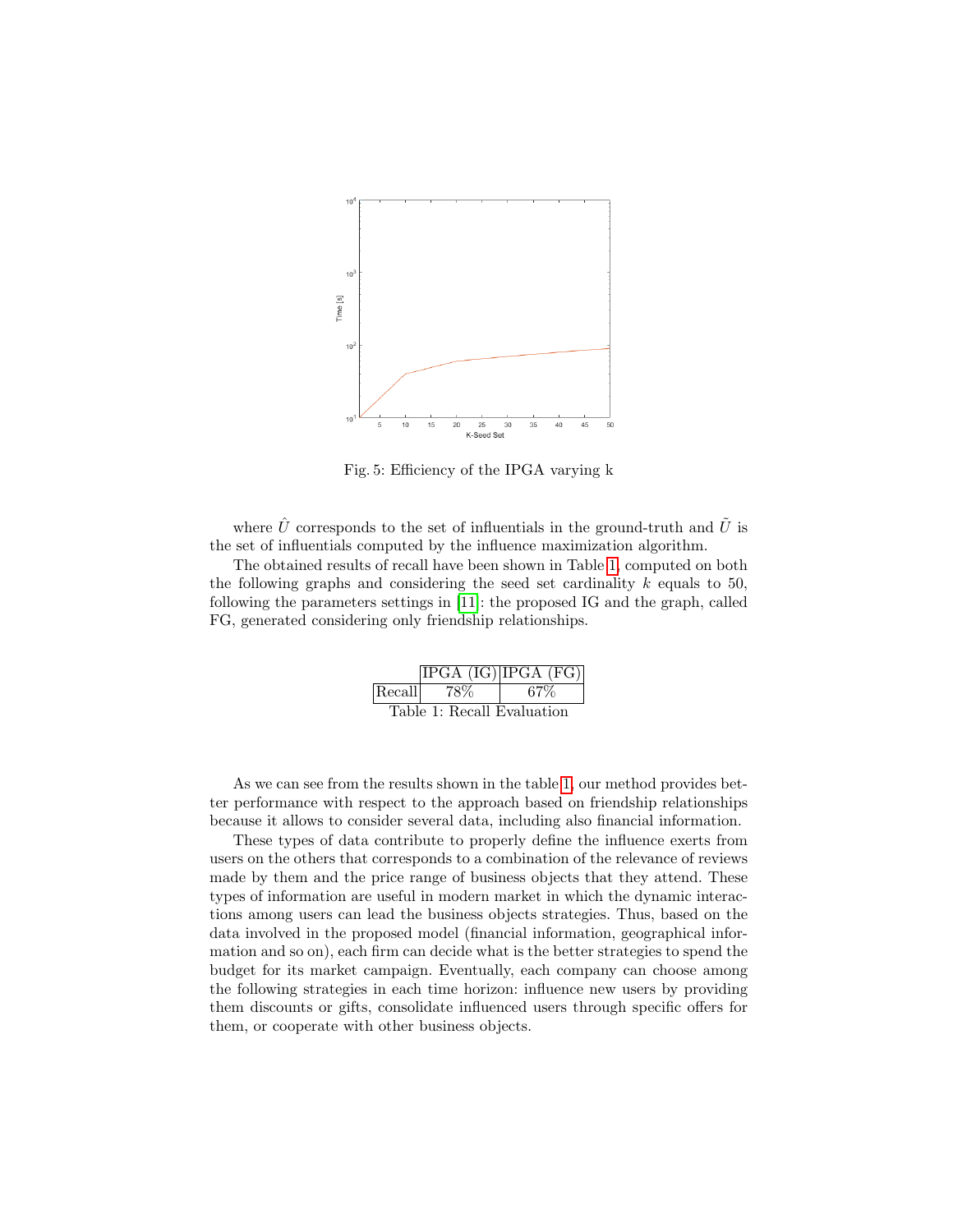<span id="page-9-0"></span>

Fig. 5: Efficiency of the IPGA varying k

where  $\hat{U}$  corresponds to the set of influentials in the ground-truth and  $\tilde{U}$  is the set of influentials computed by the influence maximization algorithm.

<span id="page-9-1"></span>The obtained results of recall have been shown in Table [1,](#page-9-1) computed on both the following graphs and considering the seed set cardinality  $k$  equals to 50, following the parameters settings in [\[11\]](#page-10-13): the proposed IG and the graph, called FG, generated considering only friendship relationships.

|                            |       | [IPGA (IG)   IPGA (FG)] |  |
|----------------------------|-------|-------------------------|--|
| Recall                     | - 78% | 67%                     |  |
| Table 1: Recall Evaluation |       |                         |  |

As we can see from the results shown in the table [1,](#page-9-1) our method provides better performance with respect to the approach based on friendship relationships because it allows to consider several data, including also financial information.

These types of data contribute to properly define the influence exerts from users on the others that corresponds to a combination of the relevance of reviews made by them and the price range of business objects that they attend. These types of information are useful in modern market in which the dynamic interactions among users can lead the business objects strategies. Thus, based on the data involved in the proposed model (financial information, geographical information and so on), each firm can decide what is the better strategies to spend the budget for its market campaign. Eventually, each company can choose among the following strategies in each time horizon: influence new users by providing them discounts or gifts, consolidate influenced users through specific offers for them, or cooperate with other business objects.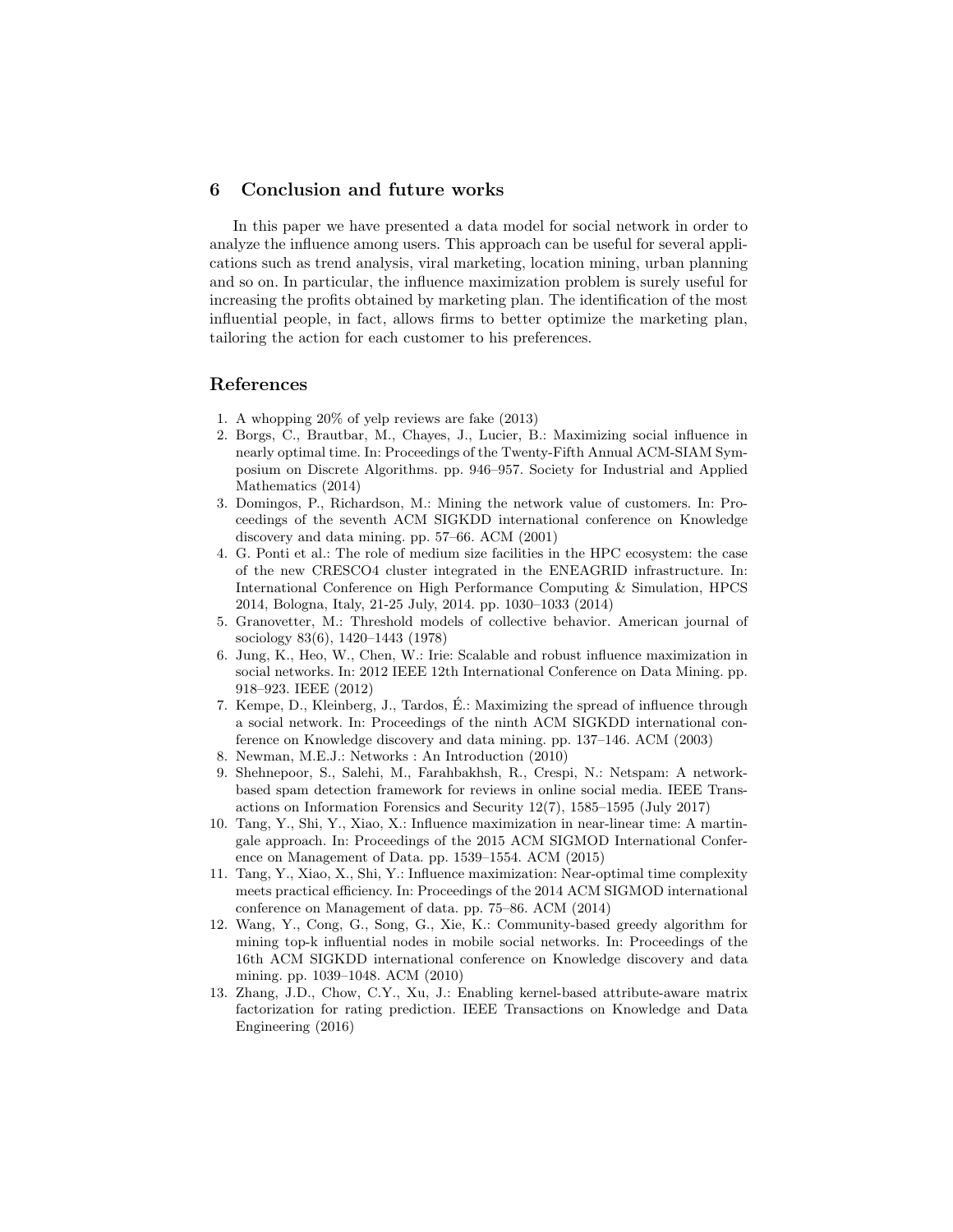### <span id="page-10-0"></span>6 Conclusion and future works

In this paper we have presented a data model for social network in order to analyze the influence among users. This approach can be useful for several applications such as trend analysis, viral marketing, location mining, urban planning and so on. In particular, the influence maximization problem is surely useful for increasing the profits obtained by marketing plan. The identification of the most influential people, in fact, allows firms to better optimize the marketing plan, tailoring the action for each customer to his preferences.

## References

- <span id="page-10-2"></span>1. A whopping 20% of yelp reviews are fake (2013)
- <span id="page-10-10"></span>2. Borgs, C., Brautbar, M., Chayes, J., Lucier, B.: Maximizing social influence in nearly optimal time. In: Proceedings of the Twenty-Fifth Annual ACM-SIAM Symposium on Discrete Algorithms. pp. 946–957. Society for Industrial and Applied Mathematics (2014)
- <span id="page-10-6"></span>3. Domingos, P., Richardson, M.: Mining the network value of customers. In: Proceedings of the seventh ACM SIGKDD international conference on Knowledge discovery and data mining. pp. 57–66. ACM (2001)
- <span id="page-10-12"></span>4. G. Ponti et al.: The role of medium size facilities in the HPC ecosystem: the case of the new CRESCO4 cluster integrated in the ENEAGRID infrastructure. In: International Conference on High Performance Computing & Simulation, HPCS 2014, Bologna, Italy, 21-25 July, 2014. pp. 1030–1033 (2014)
- <span id="page-10-4"></span>5. Granovetter, M.: Threshold models of collective behavior. American journal of sociology 83(6), 1420–1443 (1978)
- <span id="page-10-8"></span>6. Jung, K., Heo, W., Chen, W.: Irie: Scalable and robust influence maximization in social networks. In: 2012 IEEE 12th International Conference on Data Mining. pp. 918–923. IEEE (2012)
- <span id="page-10-7"></span>7. Kempe, D., Kleinberg, J., Tardos, E.: Maximizing the spread of influence through ´ a social network. In: Proceedings of the ninth ACM SIGKDD international conference on Knowledge discovery and data mining. pp. 137–146. ACM (2003)
- <span id="page-10-5"></span>8. Newman, M.E.J.: Networks : An Introduction (2010)
- <span id="page-10-3"></span>9. Shehnepoor, S., Salehi, M., Farahbakhsh, R., Crespi, N.: Netspam: A networkbased spam detection framework for reviews in online social media. IEEE Transactions on Information Forensics and Security 12(7), 1585–1595 (July 2017)
- <span id="page-10-11"></span>10. Tang, Y., Shi, Y., Xiao, X.: Influence maximization in near-linear time: A martingale approach. In: Proceedings of the 2015 ACM SIGMOD International Conference on Management of Data. pp. 1539–1554. ACM (2015)
- <span id="page-10-13"></span>11. Tang, Y., Xiao, X., Shi, Y.: Influence maximization: Near-optimal time complexity meets practical efficiency. In: Proceedings of the 2014 ACM SIGMOD international conference on Management of data. pp. 75–86. ACM (2014)
- <span id="page-10-9"></span>12. Wang, Y., Cong, G., Song, G., Xie, K.: Community-based greedy algorithm for mining top-k influential nodes in mobile social networks. In: Proceedings of the 16th ACM SIGKDD international conference on Knowledge discovery and data mining. pp. 1039–1048. ACM (2010)
- <span id="page-10-1"></span>13. Zhang, J.D., Chow, C.Y., Xu, J.: Enabling kernel-based attribute-aware matrix factorization for rating prediction. IEEE Transactions on Knowledge and Data Engineering (2016)